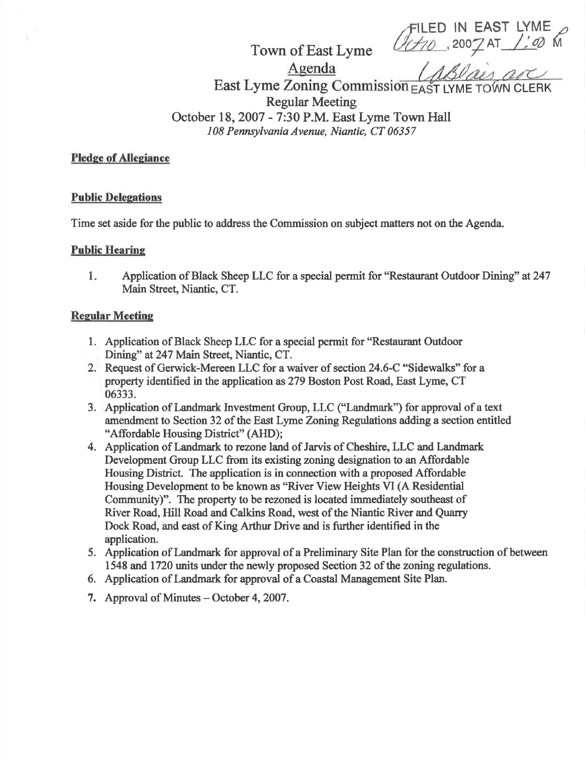**ILED IN EAST LYME**<br>(2002 AT 1: 42 M

Town of East Lyme

Agenda

East Lyme Zoning Commission EAST LYME TOWN CLERK Regular Meeting October 18,2007 - 7:30 P.M. East Lyme Town Hall

108 Pennsylvania Avenue, Niantic, CT 06357

### Pledge of Allegiance

#### Public Delegations

Time set aside for the public to address the Commission on subject matters not on the Agenda.

# Public Hearing

Application of Black Sheep LLC for a special permit for "Restaurant Outdoor Dining" at 247 Main Street, Niantic, CT.  $1.$ 

# **Regular Meeting**

- l. Application of Black Sheep LLC for a special permit for "Restaurant Outdoor Dining" at247 Main Street, Niantic, CT.
- 2. Request of Gerwick-Mereen LLC for a waiver of section 24.6-C "Sidewalks" for <sup>a</sup> property identified in the application as279 Boston Post Road, East Lyme, CT 06333.
- 3. Application of Landmark Invesfrnent Group, LLC ("Landmark") for approval of atext amendment to Section 32 of the East Lyme Zoning Regulations adding a section entitled "Affordable Housing District" (AHD);
- 4, Application of Landmark to rezone land of Jarvis of Cheshire, LLC and Landmark Development Group LLC from its existing zoning designation to an Affordable Housing District. The application is in connection with a proposed Affordable Housing Development to be known as "River View Heights VI (A Residential Community)". The property to be rezoned is located immediately southeast of River Road, Hill Road and Calkins Road, west of the Niantic River and Quarry Dock Road, and east of King Arthur Drive and is further identified in the application.
- 5. Application of Landmark for approval of a Preliminary Site Plan for the consfuction of between 1548 and 1720 units under the newly proposed Section 32 of the zoning regulations.
- 6. Application of Landmark for approval of a Coastal Management Site Plan.
- 7. Approval of Minutes October 4, 2007.